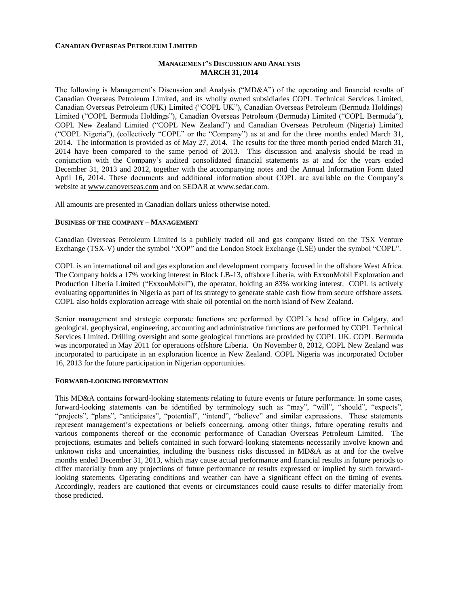## **CANADIAN OVERSEAS PETROLEUM LIMITED**

## **MANAGEMENT'S DISCUSSION AND ANALYSIS MARCH 31, 2014**

The following is Management's Discussion and Analysis ("MD&A") of the operating and financial results of Canadian Overseas Petroleum Limited, and its wholly owned subsidiaries COPL Technical Services Limited, Canadian Overseas Petroleum (UK) Limited ("COPL UK"), Canadian Overseas Petroleum (Bermuda Holdings) Limited ("COPL Bermuda Holdings"), Canadian Overseas Petroleum (Bermuda) Limited ("COPL Bermuda"), COPL New Zealand Limited ("COPL New Zealand") and Canadian Overseas Petroleum (Nigeria) Limited ("COPL Nigeria"), (collectively "COPL" or the "Company") as at and for the three months ended March 31, 2014. The information is provided as of May 27, 2014. The results for the three month period ended March 31, 2014 have been compared to the same period of 2013. This discussion and analysis should be read in conjunction with the Company's audited consolidated financial statements as at and for the years ended December 31, 2013 and 2012, together with the accompanying notes and the Annual Information Form dated April 16, 2014. These documents and additional information about COPL are available on the Company's website at [www.canoverseas.com](http://www.canoverseas.com/) and on SEDAR at [www.sedar.com.](http://www.sedar.com/)

All amounts are presented in Canadian dollars unless otherwise noted.

### **BUSINESS OF THE COMPANY – MANAGEMENT**

Canadian Overseas Petroleum Limited is a publicly traded oil and gas company listed on the TSX Venture Exchange (TSX-V) under the symbol "XOP" and the London Stock Exchange (LSE) under the symbol "COPL".

COPL is an international oil and gas exploration and development company focused in the offshore West Africa. The Company holds a 17% working interest in Block LB-13, offshore Liberia, with ExxonMobil Exploration and Production Liberia Limited ("ExxonMobil"), the operator, holding an 83% working interest. COPL is actively evaluating opportunities in Nigeria as part of its strategy to generate stable cash flow from secure offshore assets. COPL also holds exploration acreage with shale oil potential on the north island of New Zealand.

Senior management and strategic corporate functions are performed by COPL's head office in Calgary, and geological, geophysical, engineering, accounting and administrative functions are performed by COPL Technical Services Limited. Drilling oversight and some geological functions are provided by COPL UK. COPL Bermuda was incorporated in May 2011 for operations offshore Liberia. On November 8, 2012, COPL New Zealand was incorporated to participate in an exploration licence in New Zealand. COPL Nigeria was incorporated October 16, 2013 for the future participation in Nigerian opportunities.

## **FORWARD-LOOKING INFORMATION**

This MD&A contains forward-looking statements relating to future events or future performance. In some cases, forward-looking statements can be identified by terminology such as "may", "will", "should", "expects", "projects", "plans", "anticipates", "potential", "intend", "believe" and similar expressions. These statements represent management's expectations or beliefs concerning, among other things, future operating results and various components thereof or the economic performance of Canadian Overseas Petroleum Limited. The projections, estimates and beliefs contained in such forward-looking statements necessarily involve known and unknown risks and uncertainties, including the business risks discussed in MD&A as at and for the twelve months ended December 31, 2013, which may cause actual performance and financial results in future periods to differ materially from any projections of future performance or results expressed or implied by such forwardlooking statements. Operating conditions and weather can have a significant effect on the timing of events. Accordingly, readers are cautioned that events or circumstances could cause results to differ materially from those predicted.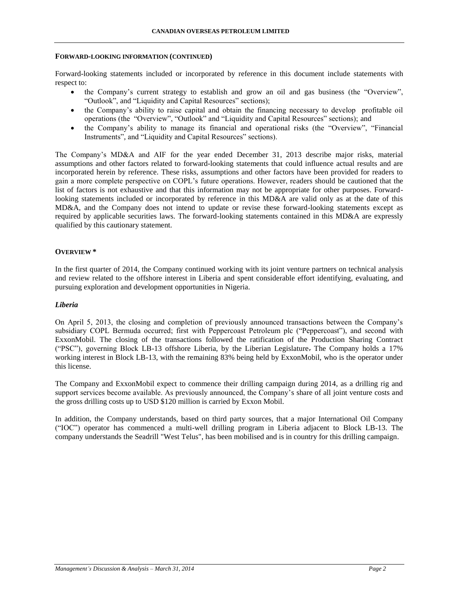#### **FORWARD-LOOKING INFORMATION (CONTINUED)**

Forward-looking statements included or incorporated by reference in this document include statements with respect to:

- the Company's current strategy to establish and grow an oil and gas business (the "Overview", "Outlook", and "Liquidity and Capital Resources" sections);
- the Company's ability to raise capital and obtain the financing necessary to develop profitable oil operations (the "Overview", "Outlook" and "Liquidity and Capital Resources" sections); and
- the Company's ability to manage its financial and operational risks (the "Overview", "Financial Instruments", and "Liquidity and Capital Resources" sections).

The Company's MD&A and AIF for the year ended December 31, 2013 describe major risks, material assumptions and other factors related to forward-looking statements that could influence actual results and are incorporated herein by reference. These risks, assumptions and other factors have been provided for readers to gain a more complete perspective on COPL's future operations. However, readers should be cautioned that the list of factors is not exhaustive and that this information may not be appropriate for other purposes. Forwardlooking statements included or incorporated by reference in this MD&A are valid only as at the date of this MD&A, and the Company does not intend to update or revise these forward-looking statements except as required by applicable securities laws. The forward-looking statements contained in this MD&A are expressly qualified by this cautionary statement.

## **OVERVIEW \***

In the first quarter of 2014, the Company continued working with its joint venture partners on technical analysis and review related to the offshore interest in Liberia and spent considerable effort identifying, evaluating, and pursuing exploration and development opportunities in Nigeria.

## *Liberia*

On April 5, 2013, the closing and completion of previously announced transactions between the Company's subsidiary COPL Bermuda occurred; first with Peppercoast Petroleum plc ("Peppercoast"), and second with ExxonMobil. The closing of the transactions followed the ratification of the Production Sharing Contract ("PSC"), governing Block LB-13 offshore Liberia, by the Liberian Legislature. The Company holds a 17% working interest in Block LB-13, with the remaining 83% being held by ExxonMobil, who is the operator under this license.

The Company and ExxonMobil expect to commence their drilling campaign during 2014, as a drilling rig and support services become available. As previously announced, the Company's share of all joint venture costs and the gross drilling costs up to USD \$120 million is carried by Exxon Mobil.

In addition, the Company understands, based on third party sources, that a major International Oil Company ("IOC") operator has commenced a multi-well drilling program in Liberia adjacent to Block LB-13. The company understands the Seadrill "West Telus", has been mobilised and is in country for this drilling campaign.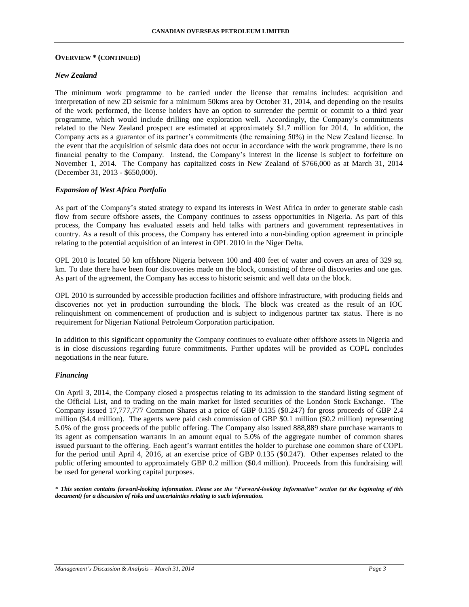#### **OVERVIEW \* (CONTINUED)**

## *New Zealand*

The minimum work programme to be carried under the license that remains includes: acquisition and interpretation of new 2D seismic for a minimum 50kms area by October 31, 2014, and depending on the results of the work performed, the license holders have an option to surrender the permit or commit to a third year programme, which would include drilling one exploration well. Accordingly, the Company's commitments related to the New Zealand prospect are estimated at approximately \$1.7 million for 2014. In addition, the Company acts as a guarantor of its partner's commitments (the remaining 50%) in the New Zealand license. In the event that the acquisition of seismic data does not occur in accordance with the work programme, there is no financial penalty to the Company. Instead, the Company's interest in the license is subject to forfeiture on November 1, 2014. The Company has capitalized costs in New Zealand of \$766,000 as at March 31, 2014 (December 31, 2013 - \$650,000).

### *Expansion of West Africa Portfolio*

As part of the Company's stated strategy to expand its interests in West Africa in order to generate stable cash flow from secure offshore assets, the Company continues to assess opportunities in Nigeria. As part of this process, the Company has evaluated assets and held talks with partners and government representatives in country. As a result of this process, the Company has entered into a non-binding option agreement in principle relating to the potential acquisition of an interest in OPL 2010 in the Niger Delta.

OPL 2010 is located 50 km offshore Nigeria between 100 and 400 feet of water and covers an area of 329 sq. km. To date there have been four discoveries made on the block, consisting of three oil discoveries and one gas. As part of the agreement, the Company has access to historic seismic and well data on the block.

OPL 2010 is surrounded by accessible production facilities and offshore infrastructure, with producing fields and discoveries not yet in production surrounding the block. The block was created as the result of an IOC relinquishment on commencement of production and is subject to indigenous partner tax status. There is no requirement for Nigerian National Petroleum Corporation participation.

In addition to this significant opportunity the Company continues to evaluate other offshore assets in Nigeria and is in close discussions regarding future commitments. Further updates will be provided as COPL concludes negotiations in the near future.

### *Financing*

On April 3, 2014, the Company closed a prospectus relating to its admission to the standard listing segment of the Official List, and to trading on the main market for listed securities of the London Stock Exchange. The Company issued 17,777,777 Common Shares at a price of GBP 0.135 (\$0.247) for gross proceeds of GBP 2.4 million (\$4.4 million). The agents were paid cash commission of GBP \$0.1 million (\$0.2 million) representing 5.0% of the gross proceeds of the public offering. The Company also issued 888,889 share purchase warrants to its agent as compensation warrants in an amount equal to 5.0% of the aggregate number of common shares issued pursuant to the offering. Each agent's warrant entitles the holder to purchase one common share of COPL for the period until April 4, 2016, at an exercise price of GBP 0.135 (\$0.247). Other expenses related to the public offering amounted to approximately GBP 0.2 million (\$0.4 million). Proceeds from this fundraising will be used for general working capital purposes.

*\* This section contains forward-looking information. Please see the "Forward-looking Information" section (at the beginning of this document) for a discussion of risks and uncertainties relating to such information.*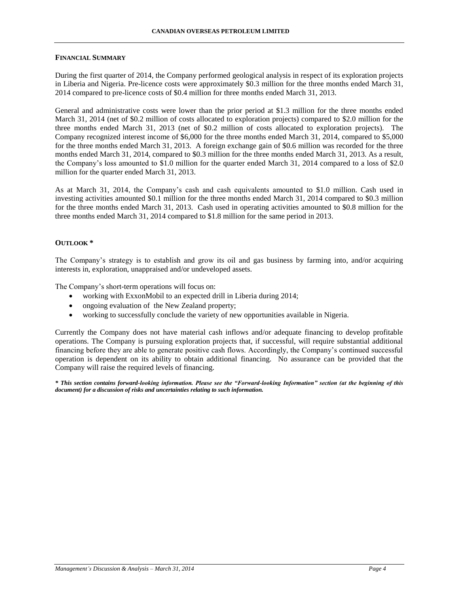## **FINANCIAL SUMMARY**

During the first quarter of 2014, the Company performed geological analysis in respect of its exploration projects in Liberia and Nigeria. Pre-licence costs were approximately \$0.3 million for the three months ended March 31, 2014 compared to pre-licence costs of \$0.4 million for three months ended March 31, 2013.

General and administrative costs were lower than the prior period at \$1.3 million for the three months ended March 31, 2014 (net of \$0.2 million of costs allocated to exploration projects) compared to \$2.0 million for the three months ended March 31, 2013 (net of \$0.2 million of costs allocated to exploration projects). The Company recognized interest income of \$6,000 for the three months ended March 31, 2014, compared to \$5,000 for the three months ended March 31, 2013. A foreign exchange gain of \$0.6 million was recorded for the three months ended March 31, 2014, compared to \$0.3 million for the three months ended March 31, 2013. As a result, the Company's loss amounted to \$1.0 million for the quarter ended March 31, 2014 compared to a loss of \$2.0 million for the quarter ended March 31, 2013.

As at March 31, 2014, the Company's cash and cash equivalents amounted to \$1.0 million. Cash used in investing activities amounted \$0.1 million for the three months ended March 31, 2014 compared to \$0.3 million for the three months ended March 31, 2013. Cash used in operating activities amounted to \$0.8 million for the three months ended March 31, 2014 compared to \$1.8 million for the same period in 2013.

## **OUTLOOK \***

The Company's strategy is to establish and grow its oil and gas business by farming into, and/or acquiring interests in, exploration, unappraised and/or undeveloped assets.

The Company's short-term operations will focus on:

- working with ExxonMobil to an expected drill in Liberia during 2014;
- ongoing evaluation of the New Zealand property;
- working to successfully conclude the variety of new opportunities available in Nigeria.

Currently the Company does not have material cash inflows and/or adequate financing to develop profitable operations. The Company is pursuing exploration projects that, if successful, will require substantial additional financing before they are able to generate positive cash flows. Accordingly, the Company's continued successful operation is dependent on its ability to obtain additional financing. No assurance can be provided that the Company will raise the required levels of financing.

*\* This section contains forward-looking information. Please see the "Forward-looking Information" section (at the beginning of this document) for a discussion of risks and uncertainties relating to such information.*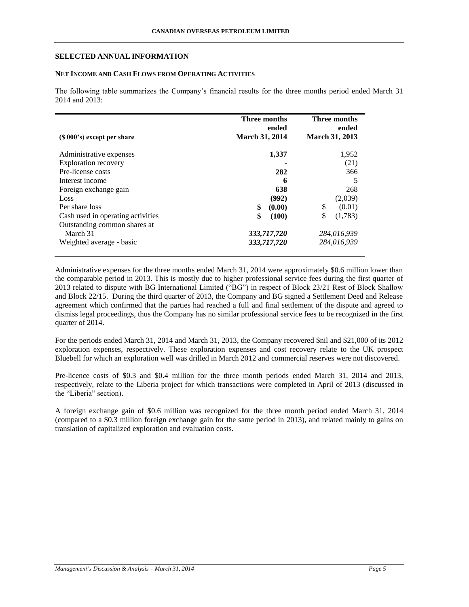## **SELECTED ANNUAL INFORMATION**

# **NET INCOME AND CASH FLOWS FROM OPERATING ACTIVITIES**

The following table summarizes the Company's financial results for the three months period ended March 31 2014 and 2013:

|                                   | <b>Three months</b><br>ended | Three months<br>ended |
|-----------------------------------|------------------------------|-----------------------|
| $(S 000's)$ except per share      | <b>March 31, 2014</b>        | <b>March 31, 2013</b> |
| Administrative expenses           | 1,337                        | 1,952                 |
| <b>Exploration recovery</b>       |                              | (21)                  |
| Pre-license costs                 | 282                          | 366                   |
| Interest income                   | 6                            | 5                     |
| Foreign exchange gain             | 638                          | 268                   |
| Loss                              | (992)                        | (2,039)               |
| Per share loss                    | \$<br>(0.00)                 | \$<br>(0.01)          |
| Cash used in operating activities | \$<br>(100)                  | \$<br>(1,783)         |
| Outstanding common shares at      |                              |                       |
| March 31                          | 333,717,720                  | 284.016.939           |
| Weighted average - basic          | 333,717,720                  | 284,016,939           |

Administrative expenses for the three months ended March 31, 2014 were approximately \$0.6 million lower than the comparable period in 2013. This is mostly due to higher professional service fees during the first quarter of 2013 related to dispute with BG International Limited ("BG") in respect of Block 23/21 Rest of Block Shallow and Block 22/15. During the third quarter of 2013, the Company and BG signed a Settlement Deed and Release agreement which confirmed that the parties had reached a full and final settlement of the dispute and agreed to dismiss legal proceedings, thus the Company has no similar professional service fees to be recognized in the first quarter of 2014.

For the periods ended March 31, 2014 and March 31, 2013, the Company recovered \$nil and \$21,000 of its 2012 exploration expenses, respectively. These exploration expenses and cost recovery relate to the UK prospect Bluebell for which an exploration well was drilled in March 2012 and commercial reserves were not discovered.

Pre-licence costs of \$0.3 and \$0.4 million for the three month periods ended March 31, 2014 and 2013, respectively, relate to the Liberia project for which transactions were completed in April of 2013 (discussed in the "Liberia" section).

A foreign exchange gain of \$0.6 million was recognized for the three month period ended March 31, 2014 (compared to a \$0.3 million foreign exchange gain for the same period in 2013), and related mainly to gains on translation of capitalized exploration and evaluation costs.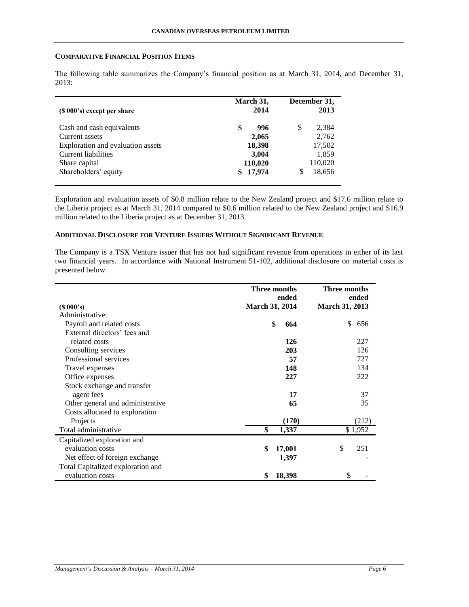## **COMPARATIVE FINANCIAL POSITION ITEMS**

| $(S 000's)$ except per share      | March 31,<br>2014 | December 31,<br>2013 |
|-----------------------------------|-------------------|----------------------|
| Cash and cash equivalents         | \$<br>996         | 2,384<br>\$          |
| Current assets                    | 2,065             | 2,762                |
| Exploration and evaluation assets | 18,398            | 17,502               |
| Current liabilities               | 3,004             | 1,859                |
| Share capital                     | 110,020           | 110,020              |
| Shareholders' equity              | 17,974            | 18,656<br>S          |

The following table summarizes the Company's financial position as at March 31, 2014, and December 31, 2013:

Exploration and evaluation assets of \$0.8 million relate to the New Zealand project and \$17.6 million relate to the Liberia project as at March 31, 2014 compared to \$0.6 million related to the New Zealand project and \$16.9 million related to the Liberia project as at December 31, 2013.

## **ADDITIONAL DISCLOSURE FOR VENTURE ISSUERS WITHOUT SIGNIFICANT REVENUE**

The Company is a TSX Venture issuer that has not had significant revenue from operations in either of its last two financial years. In accordance with National Instrument 51-102, additional disclosure on material costs is presented below.

|                                   | Three months<br>ended | Three months<br>ended |
|-----------------------------------|-----------------------|-----------------------|
| $(S\ 000's)$                      | <b>March 31, 2014</b> | <b>March 31, 2013</b> |
| Administrative:                   |                       |                       |
| Payroll and related costs         | \$<br>664             | \$<br>656             |
| External directors' fees and      |                       |                       |
| related costs                     | 126                   | 227                   |
| Consulting services               | 203                   | 126                   |
| Professional services             | 57                    | 727                   |
| Travel expenses                   | 148                   | 134                   |
| Office expenses                   | 227                   | 222                   |
| Stock exchange and transfer       |                       |                       |
| agent fees                        | 17                    | 37                    |
| Other general and administrative  | 65                    | 35                    |
| Costs allocated to exploration    |                       |                       |
| Projects                          | (170)                 | (212)                 |
| Total administrative              | \$<br>1,337           | \$1,952               |
| Capitalized exploration and       |                       |                       |
| evaluation costs                  | 17,001<br>\$          | \$<br>251             |
| Net effect of foreign exchange    | 1,397                 |                       |
| Total Capitalized exploration and |                       |                       |
| evaluation costs                  | 18,398<br>\$          | \$                    |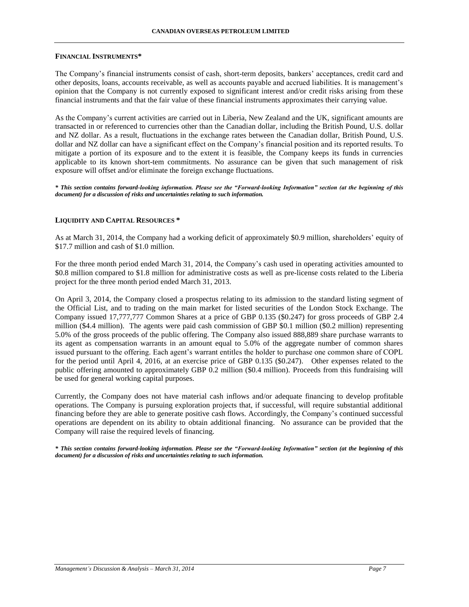#### **FINANCIAL INSTRUMENTS\***

The Company's financial instruments consist of cash, short-term deposits, bankers' acceptances, credit card and other deposits, loans, accounts receivable, as well as accounts payable and accrued liabilities. It is management's opinion that the Company is not currently exposed to significant interest and/or credit risks arising from these financial instruments and that the fair value of these financial instruments approximates their carrying value.

As the Company's current activities are carried out in Liberia, New Zealand and the UK, significant amounts are transacted in or referenced to currencies other than the Canadian dollar, including the British Pound, U.S. dollar and NZ dollar. As a result, fluctuations in the exchange rates between the Canadian dollar, British Pound, U.S. dollar and NZ dollar can have a significant effect on the Company's financial position and its reported results. To mitigate a portion of its exposure and to the extent it is feasible, the Company keeps its funds in currencies applicable to its known short-tem commitments. No assurance can be given that such management of risk exposure will offset and/or eliminate the foreign exchange fluctuations.

*\* This section contains forward-looking information. Please see the "Forward-looking Information" section (at the beginning of this document) for a discussion of risks and uncertainties relating to such information.*

### **LIQUIDITY AND CAPITAL RESOURCES \***

As at March 31, 2014, the Company had a working deficit of approximately \$0.9 million, shareholders' equity of \$17.7 million and cash of \$1.0 million.

For the three month period ended March 31, 2014, the Company's cash used in operating activities amounted to \$0.8 million compared to \$1.8 million for administrative costs as well as pre-license costs related to the Liberia project for the three month period ended March 31, 2013.

On April 3, 2014, the Company closed a prospectus relating to its admission to the standard listing segment of the Official List, and to trading on the main market for listed securities of the London Stock Exchange. The Company issued 17,777,777 Common Shares at a price of GBP 0.135 (\$0.247) for gross proceeds of GBP 2.4 million (\$4.4 million). The agents were paid cash commission of GBP \$0.1 million (\$0.2 million) representing 5.0% of the gross proceeds of the public offering. The Company also issued 888,889 share purchase warrants to its agent as compensation warrants in an amount equal to 5.0% of the aggregate number of common shares issued pursuant to the offering. Each agent's warrant entitles the holder to purchase one common share of COPL for the period until April 4, 2016, at an exercise price of GBP 0.135 (\$0.247). Other expenses related to the public offering amounted to approximately GBP 0.2 million (\$0.4 million). Proceeds from this fundraising will be used for general working capital purposes.

Currently, the Company does not have material cash inflows and/or adequate financing to develop profitable operations. The Company is pursuing exploration projects that, if successful, will require substantial additional financing before they are able to generate positive cash flows. Accordingly, the Company's continued successful operations are dependent on its ability to obtain additional financing. No assurance can be provided that the Company will raise the required levels of financing.

*\* This section contains forward-looking information. Please see the "Forward-looking Information" section (at the beginning of this document) for a discussion of risks and uncertainties relating to such information.*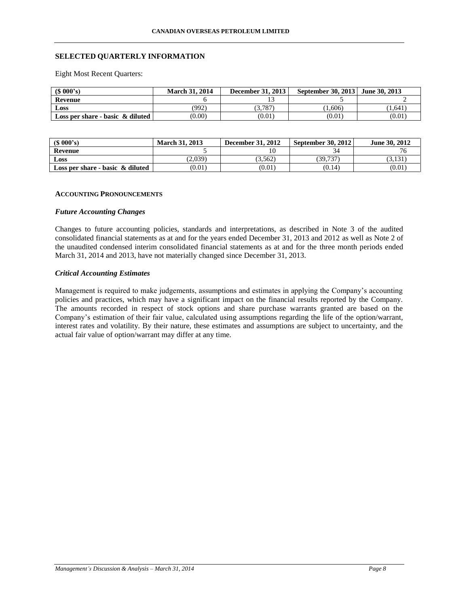# **SELECTED QUARTERLY INFORMATION**

Eight Most Recent Quarters:

| (S 000's)                           | <b>March 31, 2014</b> | <b>December 31, 2013</b> | September 30, 2013 June 30, 2013 |        |
|-------------------------------------|-----------------------|--------------------------|----------------------------------|--------|
| Revenue                             |                       |                          |                                  |        |
| Loss                                | (992)                 | (3.787)                  | (1.606)                          | 1.641  |
| Loss per share - basic $\&$ diluted | (0.00)                | (0.01)                   | (0.01)                           | (0.01) |

| (S 000's)                           | <b>March 31, 2013</b> | <b>December 31, 2012</b> | <b>September 30, 2012</b> | June 30, 2012 |
|-------------------------------------|-----------------------|--------------------------|---------------------------|---------------|
| Revenue                             |                       |                          |                           |               |
| Loss                                | (2.039)               | 3.562                    | 39.737                    | 3.131         |
| Loss per share - basic $\&$ diluted | (0.01)                | (0.01)                   | (0.14)                    | (0.01)        |

### **ACCOUNTING PRONOUNCEMENTS**

### *Future Accounting Changes*

Changes to future accounting policies, standards and interpretations, as described in Note 3 of the audited consolidated financial statements as at and for the years ended December 31, 2013 and 2012 as well as Note 2 of the unaudited condensed interim consolidated financial statements as at and for the three month periods ended March 31, 2014 and 2013, have not materially changed since December 31, 2013.

# *Critical Accounting Estimates*

Management is required to make judgements, assumptions and estimates in applying the Company's accounting policies and practices, which may have a significant impact on the financial results reported by the Company. The amounts recorded in respect of stock options and share purchase warrants granted are based on the Company's estimation of their fair value, calculated using assumptions regarding the life of the option/warrant, interest rates and volatility. By their nature, these estimates and assumptions are subject to uncertainty, and the actual fair value of option/warrant may differ at any time.